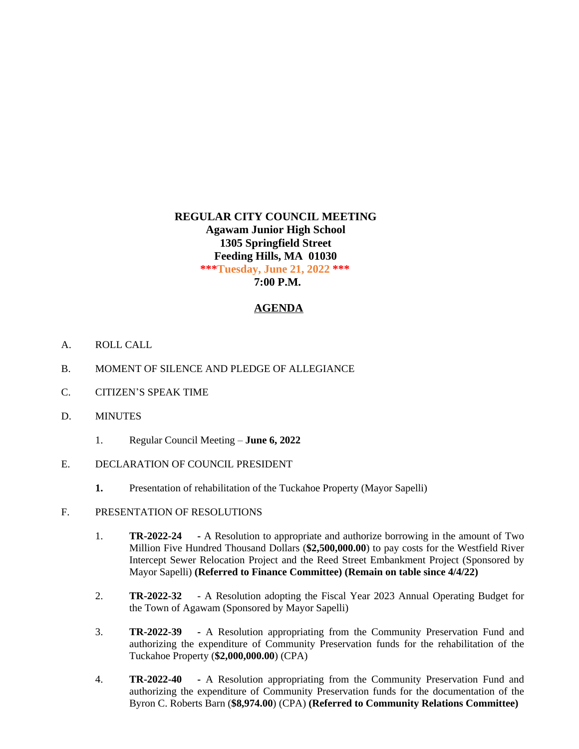## **REGULAR CITY COUNCIL MEETING Agawam Junior High School 1305 Springfield Street Feeding Hills, MA 01030 \*\*\*Tuesday, June 21, 2022 \*\*\* 7:00 P.M.**

## **AGENDA**

- A. ROLL CALL
- B. MOMENT OF SILENCE AND PLEDGE OF ALLEGIANCE
- C. CITIZEN'S SPEAK TIME
- D. MINUTES
	- 1. Regular Council Meeting **June 6, 2022**
- E. DECLARATION OF COUNCIL PRESIDENT
	- **1.** Presentation of rehabilitation of the Tuckahoe Property (Mayor Sapelli)
- F. PRESENTATION OF RESOLUTIONS
	- 1. **TR-2022-24 -** A Resolution to appropriate and authorize borrowing in the amount of Two Million Five Hundred Thousand Dollars (**\$2,500,000.00**) to pay costs for the Westfield River Intercept Sewer Relocation Project and the Reed Street Embankment Project (Sponsored by Mayor Sapelli) **(Referred to Finance Committee) (Remain on table since 4/4/22)**
	- 2. **TR-2022-32** A Resolution adopting the Fiscal Year 2023 Annual Operating Budget for the Town of Agawam (Sponsored by Mayor Sapelli)
	- 3. **TR-2022-39 -** A Resolution appropriating from the Community Preservation Fund and authorizing the expenditure of Community Preservation funds for the rehabilitation of the Tuckahoe Property (**\$2,000,000.00**) (CPA)
	- 4. **TR-2022-40 -** A Resolution appropriating from the Community Preservation Fund and authorizing the expenditure of Community Preservation funds for the documentation of the Byron C. Roberts Barn (**\$8,974.00**) (CPA) **(Referred to Community Relations Committee)**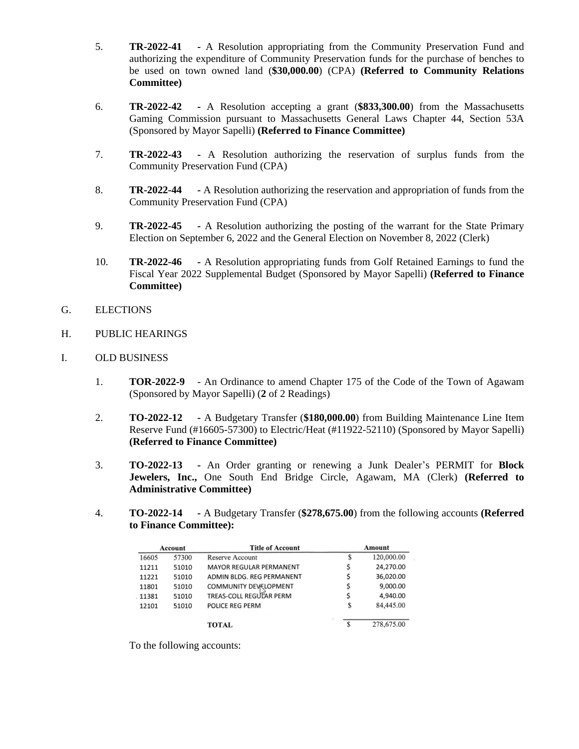- 5. **TR-2022-41 -** A Resolution appropriating from the Community Preservation Fund and authorizing the expenditure of Community Preservation funds for the purchase of benches to be used on town owned land (**\$30,000.00**) (CPA) **(Referred to Community Relations Committee)**
- 6. **TR-2022-42 -** A Resolution accepting a grant (**\$833,300.00**) from the Massachusetts Gaming Commission pursuant to Massachusetts General Laws Chapter 44, Section 53A (Sponsored by Mayor Sapelli) **(Referred to Finance Committee)**
- 7. **TR-2022-43 -** A Resolution authorizing the reservation of surplus funds from the Community Preservation Fund (CPA)
- 8. **TR-2022-44 -** A Resolution authorizing the reservation and appropriation of funds from the Community Preservation Fund (CPA)
- 9. **TR-2022-45 -** A Resolution authorizing the posting of the warrant for the State Primary Election on September 6, 2022 and the General Election on November 8, 2022 (Clerk)
- 10. **TR-2022-46 -** A Resolution appropriating funds from Golf Retained Earnings to fund the Fiscal Year 2022 Supplemental Budget (Sponsored by Mayor Sapelli) **(Referred to Finance Committee)**
- G. ELECTIONS
- H. PUBLIC HEARINGS
- I. OLD BUSINESS
	- 1. **TOR-2022-9** An Ordinance to amend Chapter 175 of the Code of the Town of Agawam (Sponsored by Mayor Sapelli) (**2** of 2 Readings)
	- 2. **TO-2022-12 -** A Budgetary Transfer (**\$180,000.00**) from Building Maintenance Line Item Reserve Fund (#16605-57300) to Electric/Heat (#11922-52110) (Sponsored by Mayor Sapelli) **(Referred to Finance Committee)**
	- 3. **TO-2022-13 -** An Order granting or renewing a Junk Dealer's PERMIT for **Block Jewelers, Inc.,** One South End Bridge Circle, Agawam, MA (Clerk) **(Referred to Administrative Committee)**
	- 4. **TO-2022-14 -** A Budgetary Transfer (**\$278,675.00**) from the following accounts **(Referred to Finance Committee):**

| Account |       | <b>Title of Account</b>   |    | Amount     |  |
|---------|-------|---------------------------|----|------------|--|
| 16605   | 57300 | Reserve Account           | S  | 120,000.00 |  |
| 11211   | 51010 | MAYOR REGULAR PERMANENT   | Ś  | 24,270.00  |  |
| 11221   | 51010 | ADMIN BLDG. REG PERMANENT | s  | 36,020.00  |  |
| 11801   | 51010 | COMMUNITY DEVELOPMENT     | \$ | 9,000.00   |  |
| 11381   | 51010 | TREAS-COLL REGULAR PERM   | S  | 4,940.00   |  |
| 12101   | 51010 | POLICE REG PERM           | S  | 84,445.00  |  |
|         |       | <b>TOTAL</b>              |    | 278,675.00 |  |

To the following accounts: